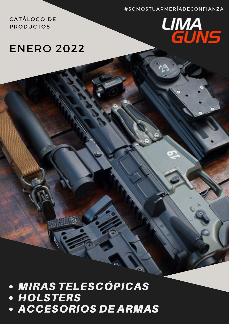#SOMOSTUARMERÍADECONFIANZA

CATÁLOGO DE **PRODUCTOS** 

# **LIMA**<br>GUNS

# **ENERO 2022**

# • MIRAS TELESCÓPICAS<br>• HOLSTERS

**• ACCESORIOS DE ARMAS**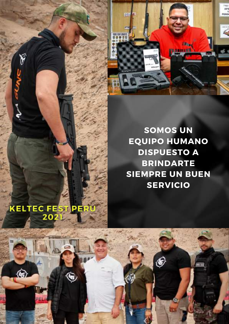

**SOMOS UN EQUIPO HUMANO DISPUESTO A BRINDARTE SIEMPRE UN BUEN SERVICIO**

Ë

# **KELTEC FEST PERU** 2021

۴

 $\bigcirc$ 

٤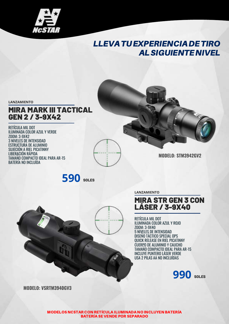

# LLEVATUEXPERIENCIADETIRO ALSIGUIENTENIVEL

**LANZAMIENTO**

#### MIRA MARK III TACTICAL GEN 2 / 3-9X42

RETÍCULA MIL DOT ILUMINADA COLOR AZUL Y VERDE ZOOM: 3-9X42 3 NIVELES DE INTENSIDAD ESTRUCTURA DE ALUMINIO SUJECIÓN A RIEL PICATINNY LIBERACIÓN RÁPIDA TAMAÑO COMPACTO IDEAL PARA AR-15 BATERÍA NO INCLUÍDA

**MODELO: STM3942GV2**



**LANZAMIENTO**

#### MIRA STR GEN 3 CON LÁSER / 3-9X40

RETÍCULA MIL DOT ILUMINADA COLOR AZUL Y ROJO ZOOM: 3-9X40 5 NIVELES DE INTENSIDAD DISEÑO TÁCTICO SPECIAL OPS QUICK RELEASE EN RIEL PICATINNY CUERPO DE ALUMINIO Y CAUCHO TAMAÑO COMPACTO IDEAL PARA AR-15 INCLUYE PUNTERO LÁSER VERDE USA 2 PILAS AA NO INCLUÍDAS



**MODELO: VSRTM3940GV3**

MODELOS NCSTAR CON RETÍCULA ILUMINADA NO INCLUYEN BATERÍA BATERÍA SE VENDE POR SEPARADO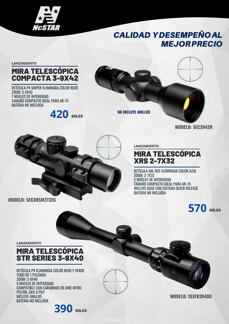

# CALIDAD YDESEMPEÑOAL MEJORPRECIO

**LANZAMIENTO**

#### MIRA TELESCÓPICA COMPACTA 3-9X42

RETÍCULA P4 SNIPER ILUMINADA COLOR ROJO ZOOM: 3-9X42 7 NIVELES DE INTENSIDAD TAMAÑO COMPACTO IDEAL PARA AR-15 BATERIA NO INCLUIDA

**420** SOLES



**NO INCLUYE ANILLOS**



**MODELO: SEC3942R**



**LANZAMIENTO**

#### MIRA TELESCÓPICA XRS 2-7X32

RETÍCULA MIL DOT ILUMINADA COLOR AZUL ZOOM: 2-7X32 5 NIVELES DE INTENSIDAD TAMAÑO COMPACTO IDEAL PARA AR-15 INCLUYE BASE CON SISTEMA QUICK RELEASE BATERÍA NO INCLUÍDA

# **570** SOLES

**LANZAMIENTO**

#### MIRA TELESCÓPICA STR SERIES 3-9X40

RETÍCULA P4 ILUMINADA COLOR ROJO Y VERDE TUBO DE 1 PULGADA ZOOM: 3-9X40 5 NIVELES DE INTENSIDAD COMPATIBLE CON CARABINAS DE AIRE NITRO PISTÓN, GRS O PCP INCLUYE ANILLOS BATERÍA NO INCLUÍDA

**390** SOLES

**MODELO: SEEFB3940G**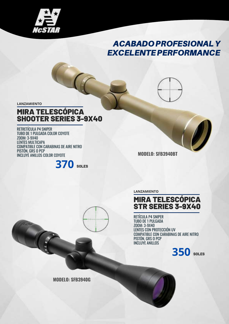

# ACABADOPROFESIONALY **EXCELENTE PERFORMANCE**

**LANZAMIENTO**

#### **MIRA TELESCÓPICA** SHOOTER SERIES 3-9X40

RETRETÍCULA P4 SNIPER TUBO DE 1 PULGADA COLOR COYOTE ZOOM: 3-9X40 LENTES MULTICAPA COMPATIBLE CON CARABINAS DE AIRE NITRO PISTÓN, GRS O PCP INCLUYE ANILLOS COLOR COYOTE



**MODELO: SFB3940BT**

**LANZAMIENTO**

#### **MIRA TELESCÓPICA** STR SERIES 3-9X40

RETÍCULA P4 SNIPER TUBO DE 1 PULGADA ZOOM: 3-9X40 LENTES CON PROTECCIÓN UV COMPATIBLE CON CARABINAS DE AIRE NITRO PISTÓN, GRS O PCP INCLUYE ANILLOS



**MODELO: SFB3940G**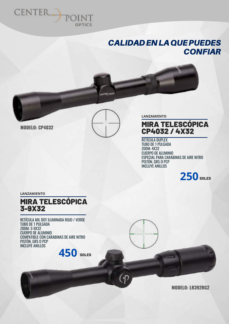

#### CALIDADENLAQUEPUEDES **CONFIAR**



#### **MODELO: CP4032**



(P

**LANZAMIENTO**

#### **MIRA TELESCÓPICA** CP4032 / 4X32

RETÍCULA DUPLEX TUBO DE 1 PULGADA ZOOM: 4X32 CUERPO DE ALUMINIO ESPECIAL PARA CARABINAS DE AIRE NITRO PISTÓN, GRS O PCP INCLUYE ANILLOS



**LANZAMIENTO**

#### MIRA TELESCÓPICA 3-9X32

RETÍCULA MIL DOT ILUMINADA ROJO / VERDE TUBO DE 1 PULGADA ZOOM: 3-9X32 CUERPO DE ALUMINIO COMPATIBLE CON CARABINAS DE AIRE NITRO PISTÓN, GRS O PCP INCLUYE ANILLOS



**MODELO: LR392RG2**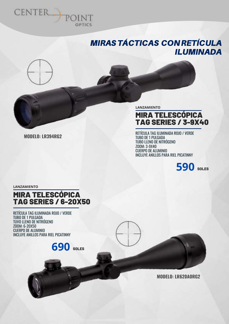

# MIRASTÁCTICAS CONRETÍCULA ILUMINADA



**MODELO: LR394RG2**

**LANZAMIENTO**

#### **RA TELESCÓPICA** TAG SERIES / 3-9X40

RETÍCULA TAG ILUMINADA ROJO / VERDE TUBO DE 1 PULGADA TUBO LLENO DE NITRÓGENO ZOOM: 3-9X40 CUERPO DE ALUMINIO INCLUYE ANILLOS PARA RIEL PICATINNY



**LANZAMIENTO**

#### MIRA TELESCÓPICA TAG SERIES / 6-20X50

RETÍCULA TAG ILUMINADA ROJO / VERDE TUBO DE 1 PULGADA TUVO LLENO DE NITRÓGENO ZOOM: 6-20X50 CUERPO DE ALUMINIO INCLUYE ANILLOS PARA RIEL PICATINNY

**690** SOLES

**MODELO: LR620AORG2**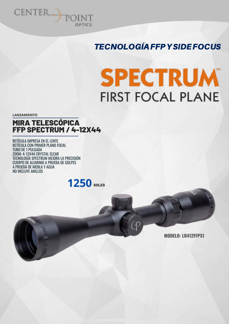

# TECNOLOGÍAFFPYSIDEFOCUS

# **SPECTRUM FIRST FOCAL PLANE**

**LANZAMIENTO**

#### MIRA TELESCÓPICA FFP SPECTRUM / 4-12X44

RETÍCULA IMPRESA EN EL LENTE RETÍCULA CON PRIMER PLANO FOCAL TUBO DE 1 PULGADA ZOOM: 4-12X44 CRYSTAL CLEAR TECNOLOGÍA SPECTRUM MEJORA LA PRECISIÓN CUERPO DE ALUMINIO A PRUEBA DE GOLPES A PRUEBA DE NIEBLA Y AGUA NO INCLUYE ANILLOS

**1250** SOLES

**MODELO: LR412FFPS1**